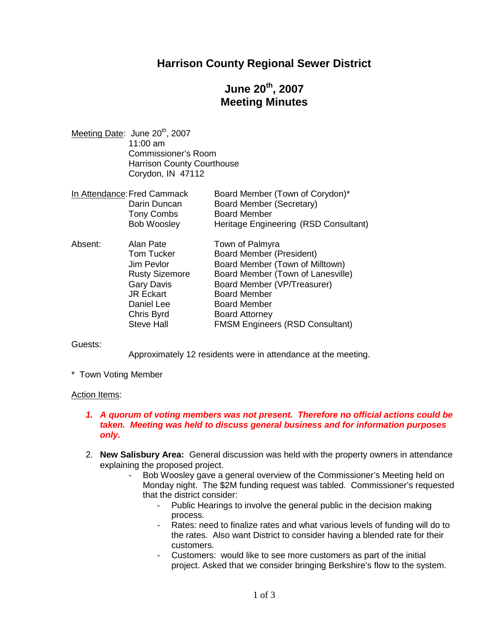### **Harrison County Regional Sewer District**

# **June 20th , 2007 Meeting Minutes**

Meeting Date: June 20<sup>th</sup>, 2007 11:00 am Commissioner's Room Harrison County Courthouse Corydon, IN 47112

| In Attendance: Fred Cammack | Board Member (Town of Corydon)*       |
|-----------------------------|---------------------------------------|
| Darin Duncan                | Board Member (Secretary)              |
| Tony Combs                  | <b>Board Member</b>                   |
| <b>Bob Woosley</b>          | Heritage Engineering (RSD Consultant) |

| Alan Pate             | Town of Palmyra                        |
|-----------------------|----------------------------------------|
| <b>Tom Tucker</b>     | <b>Board Member (President)</b>        |
| Jim Pevlor            | Board Member (Town of Milltown)        |
| <b>Rusty Sizemore</b> | Board Member (Town of Lanesville)      |
| <b>Gary Davis</b>     | Board Member (VP/Treasurer)            |
| <b>JR Eckart</b>      | <b>Board Member</b>                    |
| Daniel Lee            | <b>Board Member</b>                    |
| Chris Byrd            | <b>Board Attorney</b>                  |
| <b>Steve Hall</b>     | <b>FMSM Engineers (RSD Consultant)</b> |
|                       |                                        |

Guests:

Approximately 12 residents were in attendance at the meeting.

\* Town Voting Member

#### Action Items:

### *1. A quorum of voting members was not present. Therefore no official actions could be taken. Meeting was held to discuss general business and for information purposes only.*

- 2. **New Salisbury Area:** General discussion was held with the property owners in attendance explaining the proposed project.
	- Bob Woosley gave a general overview of the Commissioner's Meeting held on Monday night. The \$2M funding request was tabled. Commissioner's requested that the district consider:
		- Public Hearings to involve the general public in the decision making process.
		- Rates: need to finalize rates and what various levels of funding will do to the rates. Also want District to consider having a blended rate for their customers.
		- Customers: would like to see more customers as part of the initial project. Asked that we consider bringing Berkshire's flow to the system.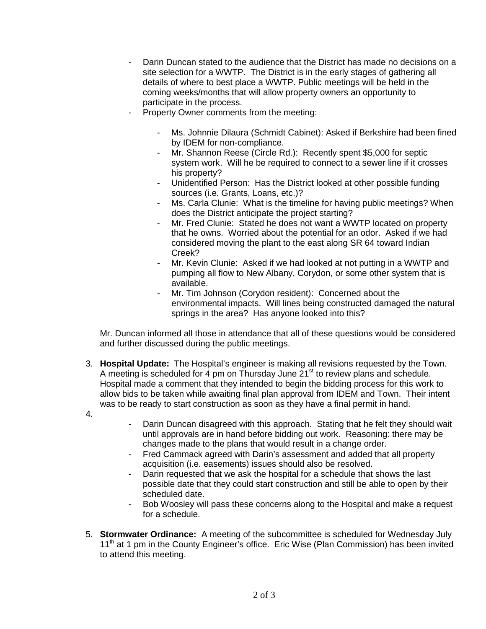- Darin Duncan stated to the audience that the District has made no decisions on a site selection for a WWTP. The District is in the early stages of gathering all details of where to best place a WWTP. Public meetings will be held in the coming weeks/months that will allow property owners an opportunity to participate in the process.
- Property Owner comments from the meeting:
	- Ms. Johnnie Dilaura (Schmidt Cabinet): Asked if Berkshire had been fined by IDEM for non-compliance.
	- Mr. Shannon Reese (Circle Rd.): Recently spent \$5,000 for septic system work. Will he be required to connect to a sewer line if it crosses his property?
	- Unidentified Person: Has the District looked at other possible funding sources (i.e. Grants, Loans, etc.)?
	- Ms. Carla Clunie: What is the timeline for having public meetings? When does the District anticipate the project starting?
	- Mr. Fred Clunie: Stated he does not want a WWTP located on property that he owns. Worried about the potential for an odor. Asked if we had considered moving the plant to the east along SR 64 toward Indian Creek?
	- Mr. Kevin Clunie: Asked if we had looked at not putting in a WWTP and pumping all flow to New Albany, Corydon, or some other system that is available.
	- Mr. Tim Johnson (Corydon resident): Concerned about the environmental impacts. Will lines being constructed damaged the natural springs in the area? Has anyone looked into this?

Mr. Duncan informed all those in attendance that all of these questions would be considered and further discussed during the public meetings.

- 3. **Hospital Update:** The Hospital's engineer is making all revisions requested by the Town. A meeting is scheduled for 4 pm on Thursday June  $21^{st}$  to review plans and schedule. Hospital made a comment that they intended to begin the bidding process for this work to allow bids to be taken while awaiting final plan approval from IDEM and Town. Their intent was to be ready to start construction as soon as they have a final permit in hand.
- 4.
- Darin Duncan disagreed with this approach. Stating that he felt they should wait until approvals are in hand before bidding out work. Reasoning: there may be changes made to the plans that would result in a change order.
- Fred Cammack agreed with Darin's assessment and added that all property acquisition (i.e. easements) issues should also be resolved.
- Darin requested that we ask the hospital for a schedule that shows the last possible date that they could start construction and still be able to open by their scheduled date.
- Bob Woosley will pass these concerns along to the Hospital and make a request for a schedule.
- 5. **Stormwater Ordinance:** A meeting of the subcommittee is scheduled for Wednesday July 11<sup>th</sup> at 1 pm in the County Engineer's office. Eric Wise (Plan Commission) has been invited to attend this meeting.